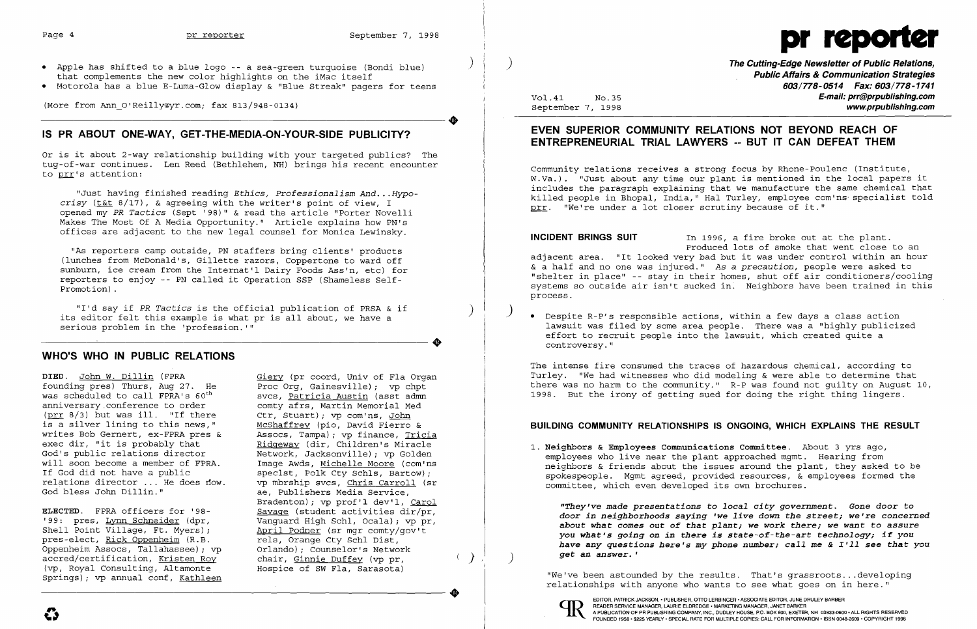

- Apple has shifted to a blue logo  $-$  a sea-green turquoise (Bondi blue) that complements the new color highlights on the iMac itself
- • Motorola has a blue E-Luma-Glow display & "Blue Streak" pagers for teens

(More from Ann\_O'Reilly@yr.com; fax 813/948-0134) (More from Ann\_O'Reilly@yr.com; fax 813/948-0134)<br>
<br>
IS BR ABOUT ONE WAY CET THE MEDIA ON YOUR SIDE BUBLICITY?

# **IS PR ABOUT ONE-WAY, GET-THE-MEDIA-ON-YOUR-SIDE PUBLICITY?**

Or is it about 2-way relationship building with your targeted publics? The tug-of-war continues. Len Reed (Bethlehem, NH) brings his recent encounter to prr's attention:

"I'd say if *PR Tactics* is the official publication of PRSA & if "I'd say if *PR Tactics* is the official publication of PRSA & if  $\begin{array}{c} \big) \end{array}$ serious problem in the 'profession.'" ----'---------------------..

"Just having finished reading *Ethics, Professionalism And ...Hypocrisy* (t&t 8/17), & agreeing with the writer's point of view, I opened my *PR Tactics* (Sept '98)" & read the article "Porter Novelli Makes The Most Of A Media Opportunity." Article explains how PN's offices are adjacent to the new legal counsel for Monica Lewinsky.

"As reporters camp outside, PN staffers bring clients' products (lunches from McDonald's, Gillette razors, Coppertone to ward off sunburn, ice cream from the Internat'l Dairy Foods Ass'n, etc) for \ reporters to enjoy -- PN called it Operation SSP (Shameless Self-Promotion) .

DIED. John W. Dillin (FPRA Giery (pr coord, Univ of Fla Organ founding pres) Thurs, Aug 27. He Proc Org, Gainesville); vp chpt comty afrs, Martin Memorial Med<br>Ctr, Stuart); vp com'ns, John ae, Publishers Media Service, Bradenton); vp prof'l dev'l, Carol Oppenheim Assocs, Tallahassee); vp Orlando); Counselor's Network accred/certification, Kristen Roy chair, Ginnie Duffey (vp pr, ), ) September 7, 1998

## **WHO'S WHO IN PUBLIC RELATIONS**

founding pres) Thurs, Aug 27. He Proc Org, Gainesville); vp chpt was scheduled to call FPRA's  $60^{th}$  svcs, Patricia Austin (asst admn was scheduled to call FPRA's 60<sup>th</sup><br>anniversary conference to order (prr 8/3) but was ill. "If there Ctr, Stuart); vp com'ns, John<br>is a silver lining to this news," McShaffrey (pio, David Fierro & is a silver lining to this news,"<br>writes Bob Gernert, ex-FPRA pres & writes Bob Gernert, ex-FPRA pres & Assocs, Tampa); vp finance, <u>Tricia</u><br>exec dir, "it is probably that "Ridgeway (dir, Children's Miracle" exec dir, "it is probably that  $\frac{Ridqeway}{Ridqeway}$  (dir, Children's Miracle God's public relations director  $\frac{Ridqeway}{Ridqewdx}$ , Jacksonville); vp Golden God's public relations director (Network, Jacksonville); vp Golden<br>will soon become a member of FPRA. (Image Awds, Michelle Moore (com'ns will soon become a member of FPRA. Image Awds, <u>Michelle Moore</u> (com'ns<br>If God did not have a public speclst. Polk Ctv Schls. Bartow): If God did not have a public<br>
relations director ... He does now. vp mbrship sycs. Chris Carroll (sr relations director ... He does now. vp mbrship svcs, Chris Carroll (sr<br>God bless John Dillin." ae. Publishers Media Service.

ELECTED. FPRA officers for '98-<br>
'99: pres, <u>Lynn Schneider</u> (dpr, Vanquard High Schl, Ocala); vp pr, '99: pres, <u>Lynn Schneider</u> (dpr, Vanguard High Schl, Ocala); vp pr<br>Shell Point Village, Ft. Myers); April Podner (sr mgr comty/gov't Shell Point Village, Ft. Myers); <br>pres-elect, Rick Oppenheim (R.B. Tels, Orange Cty Schl Dist, pres-elect, <u>Rick Oppenheim</u> (R.B. rels, Orange Cty Schl Dist,<br>Oppenheim Assocs, Tallahassee); vp Orlando); Counselor's Network accred/certification, <u>Kristen Roy</u> and Chair, <u>Ginnie Duffey</u> (vp pr, (vp, Royal Consulting, Altamonte and Hospice of SW Fla, Sarasota) Springs); vp annual conf, Kathleen excrea) certification, <u>Kristen Roy</u><br>
(vp, Royal Consulting, Altamonte Hospice of SW Fla, Sarasota)<br>
Springs); vp annual conf, <u>Kathleen</u> **INCIDENT BRINGS SUIT** In 1996, a fire broke out at the plant. Produced lots of smoke that went close to an adjacent area. "It looked very bad but it was under control within an hour & a half and no one was injured." *As* a *precaution,* people were asked to "shelter in place" -- stay in their homes, shut off air conditioners/cooling systems so outside air isn't sucked in. Neighbors have been trained in this process.

**The Cutting-Edge Newsletter of Public Relations, Public Affairs & Communication Strategies 603/778-0514 Fax: 603/778-1741**  Vol.41 No.35 **E-mail: prr@prpublishing.com** 

lawsuit was filed by some area people. There was a "highly publicized

# **EVEN SUPERIOR COMMUNITY RELATIONS NOT BEYOND REACH OF ENTREPRENEURIAL TRIAL LAWYERS -- BUT IT CAN DEFEAT THEM**

Community relations receives a strong focus by Rhone-Poulenc (Institute, W.Va.). "Just about any time our plant is mentioned in the local papers it includes the paragraph explaining that we manufacture the same chemical that killed people in Bhopal, India," Hal Turley, employee com'ns' specialist told prr. "We're under a lot closer scrutiny because of it."

• Despite R-P's responsible actions, within a few days a class action effort to recruit people into the lawsuit, which created quite a controversy. "

The intense fire consumed the traces of hazardous chemical, according to Turley. "We had witnesses who did modeling & were able to determine that there was no harm to the community." R-P was found not guilty on August 10, 1998. But the irony of getting sued for doing the right thing lingers.

### **BUILDING COMMUNITY RELATIONSHIPS IS ONGOING, WHICH EXPLAINS THE RESULT**

1. Neighbors & Employees Communications Committee. About 3 yrs ago, employees who live near the plant approached mgmt. Hearing from committee, which even developed its own brochures.

neighbors & friends about the issues around the plant, they asked to be spokespeople. Mgmt agreed, provided resources, & employees formed the

*"They've made presentations* to *local city government. Gone* door *to*  door *in neighborhoods saying 'we live down the street; we're* concerned *about what comes out of that plant; we work there; we want to* assure *you what's going* on *in there is state-of-the-art technology; if you have any questions here's my phone number; call me* & *I'll see that you get* an *answer. '* 

"We've been astounded by the results. That's grassroots ... developing relationships with anyone who wants to see what goes on in here."



 $\bm{c}$